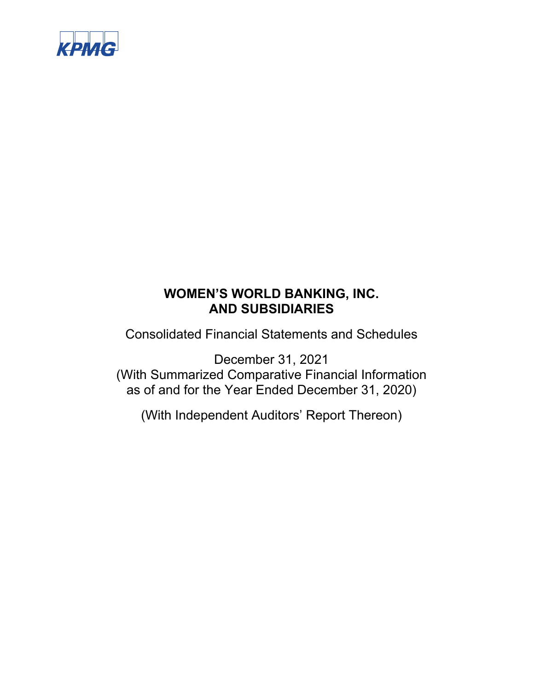

Consolidated Financial Statements and Schedules

December 31, 2021 (With Summarized Comparative Financial Information as of and for the Year Ended December 31, 2020)

(With Independent Auditors' Report Thereon)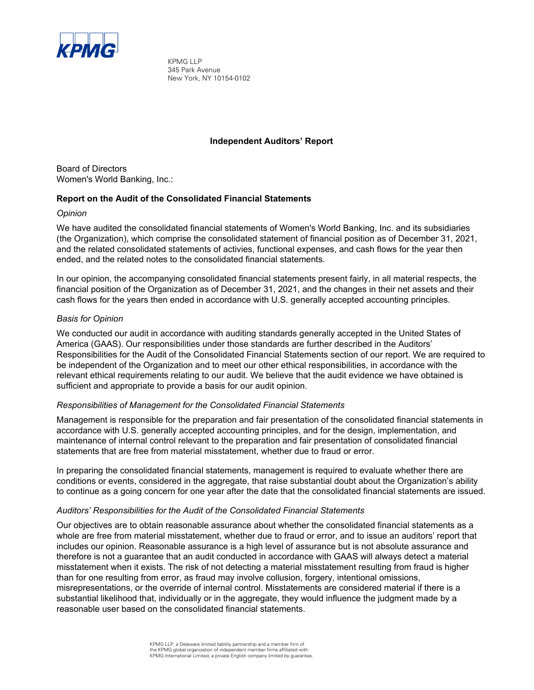

KPMG LLP 345 Park Avenue New York, NY 10154-0102

#### **Independent Auditors' Report**

Board of Directors Women's World Banking, Inc.:

## **Report on the Audit of the Consolidated Financial Statements**

#### *Opinion*

We have audited the consolidated financial statements of Women's World Banking, Inc. and its subsidiaries (the Organization), which comprise the consolidated statement of financial position as of December 31, 2021, and the related consolidated statements of activies, functional expenses, and cash flows for the year then ended, and the related notes to the consolidated financial statements.

In our opinion, the accompanying consolidated financial statements present fairly, in all material respects, the financial position of the Organization as of December 31, 2021, and the changes in their net assets and their cash flows for the years then ended in accordance with U.S. generally accepted accounting principles.

## *Basis for Opinion*

We conducted our audit in accordance with auditing standards generally accepted in the United States of America (GAAS). Our responsibilities under those standards are further described in the Auditors' Responsibilities for the Audit of the Consolidated Financial Statements section of our report. We are required to be independent of the Organization and to meet our other ethical responsibilities, in accordance with the relevant ethical requirements relating to our audit. We believe that the audit evidence we have obtained is sufficient and appropriate to provide a basis for our audit opinion.

# *Responsibilities of Management for the Consolidated Financial Statements*

Management is responsible for the preparation and fair presentation of the consolidated financial statements in accordance with U.S. generally accepted accounting principles, and for the design, implementation, and maintenance of internal control relevant to the preparation and fair presentation of consolidated financial statements that are free from material misstatement, whether due to fraud or error.

In preparing the consolidated financial statements, management is required to evaluate whether there are conditions or events, considered in the aggregate, that raise substantial doubt about the Organization's ability to continue as a going concern for one year after the date that the consolidated financial statements are issued.

#### *Auditors' Responsibilities for the Audit of the Consolidated Financial Statements*

Our objectives are to obtain reasonable assurance about whether the consolidated financial statements as a whole are free from material misstatement, whether due to fraud or error, and to issue an auditors' report that includes our opinion. Reasonable assurance is a high level of assurance but is not absolute assurance and therefore is not a guarantee that an audit conducted in accordance with GAAS will always detect a material misstatement when it exists. The risk of not detecting a material misstatement resulting from fraud is higher than for one resulting from error, as fraud may involve collusion, forgery, intentional omissions, misrepresentations, or the override of internal control. Misstatements are considered material if there is a substantial likelihood that, individually or in the aggregate, they would influence the judgment made by a reasonable user based on the consolidated financial statements.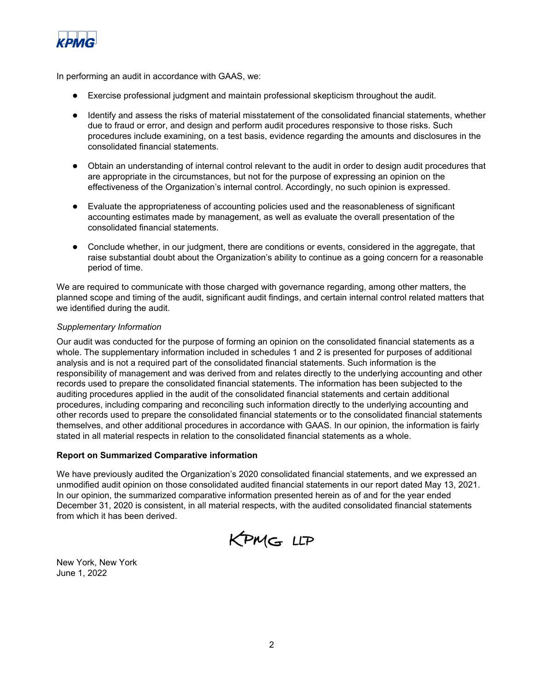

In performing an audit in accordance with GAAS, we:

- Exercise professional judgment and maintain professional skepticism throughout the audit.
- Identify and assess the risks of material misstatement of the consolidated financial statements, whether due to fraud or error, and design and perform audit procedures responsive to those risks. Such procedures include examining, on a test basis, evidence regarding the amounts and disclosures in the consolidated financial statements.
- Obtain an understanding of internal control relevant to the audit in order to design audit procedures that are appropriate in the circumstances, but not for the purpose of expressing an opinion on the effectiveness of the Organization's internal control. Accordingly, no such opinion is expressed.
- Evaluate the appropriateness of accounting policies used and the reasonableness of significant accounting estimates made by management, as well as evaluate the overall presentation of the consolidated financial statements.
- Conclude whether, in our judgment, there are conditions or events, considered in the aggregate, that raise substantial doubt about the Organization's ability to continue as a going concern for a reasonable period of time.

We are required to communicate with those charged with governance regarding, among other matters, the planned scope and timing of the audit, significant audit findings, and certain internal control related matters that we identified during the audit.

## *Supplementary Information*

Our audit was conducted for the purpose of forming an opinion on the consolidated financial statements as a whole. The supplementary information included in schedules 1 and 2 is presented for purposes of additional analysis and is not a required part of the consolidated financial statements. Such information is the responsibility of management and was derived from and relates directly to the underlying accounting and other records used to prepare the consolidated financial statements. The information has been subjected to the auditing procedures applied in the audit of the consolidated financial statements and certain additional procedures, including comparing and reconciling such information directly to the underlying accounting and other records used to prepare the consolidated financial statements or to the consolidated financial statements themselves, and other additional procedures in accordance with GAAS. In our opinion, the information is fairly stated in all material respects in relation to the consolidated financial statements as a whole.

#### **Report on Summarized Comparative information**

We have previously audited the Organization's 2020 consolidated financial statements, and we expressed an unmodified audit opinion on those consolidated audited financial statements in our report dated May 13, 2021. In our opinion, the summarized comparative information presented herein as of and for the year ended December 31, 2020 is consistent, in all material respects, with the audited consolidated financial statements from which it has been derived.



New York, New York June 1, 2022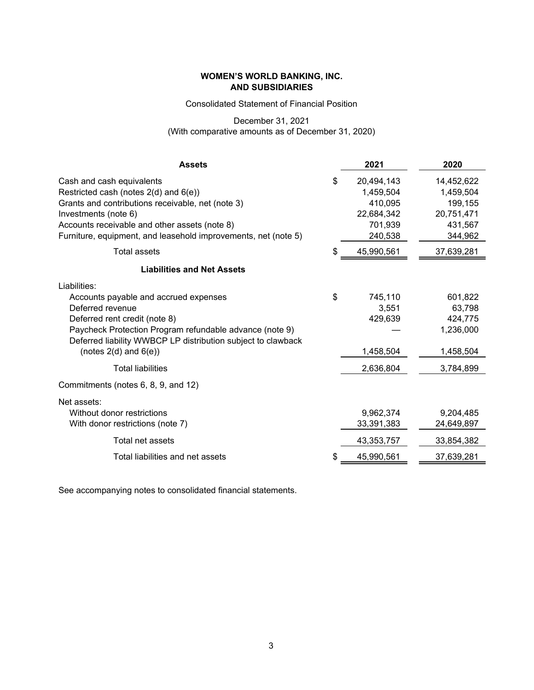Consolidated Statement of Financial Position

# December 31, 2021

(With comparative amounts as of December 31, 2020)

| <b>Assets</b>                                                                                                                                                                                                                                                                                   | 2021                                                                         | 2020                                                                   |
|-------------------------------------------------------------------------------------------------------------------------------------------------------------------------------------------------------------------------------------------------------------------------------------------------|------------------------------------------------------------------------------|------------------------------------------------------------------------|
| Cash and cash equivalents<br>Restricted cash (notes $2(d)$ and $6(e)$ )<br>Grants and contributions receivable, net (note 3)<br>Investments (note 6)<br>Accounts receivable and other assets (note 8)<br>Furniture, equipment, and leasehold improvements, net (note 5)                         | \$<br>20,494,143<br>1,459,504<br>410,095<br>22,684,342<br>701,939<br>240,538 | 14,452,622<br>1,459,504<br>199,155<br>20,751,471<br>431,567<br>344,962 |
| <b>Total assets</b>                                                                                                                                                                                                                                                                             | \$<br>45,990,561                                                             | 37,639,281                                                             |
| <b>Liabilities and Net Assets</b>                                                                                                                                                                                                                                                               |                                                                              |                                                                        |
| Liabilities:<br>Accounts payable and accrued expenses<br>Deferred revenue<br>Deferred rent credit (note 8)<br>Paycheck Protection Program refundable advance (note 9)<br>Deferred liability WWBCP LP distribution subject to clawback<br>(notes $2(d)$ and $6(e)$ )<br><b>Total liabilities</b> | \$<br>745,110<br>3,551<br>429,639<br>1,458,504<br>2,636,804                  | 601,822<br>63,798<br>424,775<br>1,236,000<br>1,458,504<br>3,784,899    |
| Commitments (notes 6, 8, 9, and 12)                                                                                                                                                                                                                                                             |                                                                              |                                                                        |
| Net assets:<br>Without donor restrictions<br>With donor restrictions (note 7)<br>Total net assets                                                                                                                                                                                               | 9,962,374<br>33,391,383<br>43,353,757                                        | 9,204,485<br>24,649,897<br>33,854,382                                  |
| Total liabilities and net assets                                                                                                                                                                                                                                                                | \$<br>45,990,561                                                             | 37,639,281                                                             |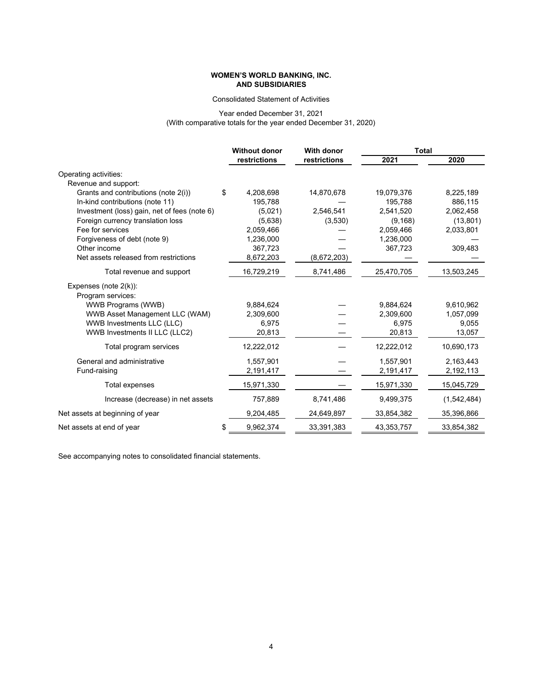#### Consolidated Statement of Activities

#### Year ended December 31, 2021 (With comparative totals for the year ended December 31, 2020)

|                                              | <b>Without donor</b> | <b>With donor</b> | <b>Total</b> |             |  |
|----------------------------------------------|----------------------|-------------------|--------------|-------------|--|
|                                              | restrictions         | restrictions      | 2021         | 2020        |  |
| Operating activities:                        |                      |                   |              |             |  |
| Revenue and support:                         |                      |                   |              |             |  |
| Grants and contributions (note 2(i))         | \$<br>4,208,698      | 14,870,678        | 19,079,376   | 8,225,189   |  |
| In-kind contributions (note 11)              | 195,788              |                   | 195.788      | 886,115     |  |
| Investment (loss) gain, net of fees (note 6) | (5,021)              | 2,546,541         | 2,541,520    | 2,062,458   |  |
| Foreign currency translation loss            | (5,638)              | (3,530)           | (9, 168)     | (13, 801)   |  |
| Fee for services                             | 2,059,466            |                   | 2,059,466    | 2,033,801   |  |
| Forgiveness of debt (note 9)                 | 1,236,000            |                   | 1,236,000    |             |  |
| Other income                                 | 367,723              |                   | 367,723      | 309,483     |  |
| Net assets released from restrictions        | 8,672,203            | (8,672,203)       |              |             |  |
| Total revenue and support                    | 16,729,219           | 8,741,486         | 25,470,705   | 13,503,245  |  |
| Expenses (note $2(k)$ ):                     |                      |                   |              |             |  |
| Program services:                            |                      |                   |              |             |  |
| WWB Programs (WWB)                           | 9,884,624            |                   | 9,884,624    | 9,610,962   |  |
| WWB Asset Management LLC (WAM)               | 2,309,600            |                   | 2,309,600    | 1,057,099   |  |
| WWB Investments LLC (LLC)                    | 6,975                |                   | 6,975        | 9,055       |  |
| WWB Investments II LLC (LLC2)                | 20,813               |                   | 20,813       | 13,057      |  |
| Total program services                       | 12,222,012           |                   | 12,222,012   | 10,690,173  |  |
| General and administrative                   | 1,557,901            |                   | 1,557,901    | 2,163,443   |  |
| Fund-raising                                 | 2,191,417            |                   | 2,191,417    | 2,192,113   |  |
| Total expenses                               | 15,971,330           |                   | 15,971,330   | 15,045,729  |  |
| Increase (decrease) in net assets            | 757,889              | 8,741,486         | 9,499,375    | (1,542,484) |  |
| Net assets at beginning of year              | 9,204,485            | 24,649,897        | 33,854,382   | 35,396,866  |  |
| Net assets at end of year                    | \$<br>9,962,374      | 33,391,383        | 43,353,757   | 33,854,382  |  |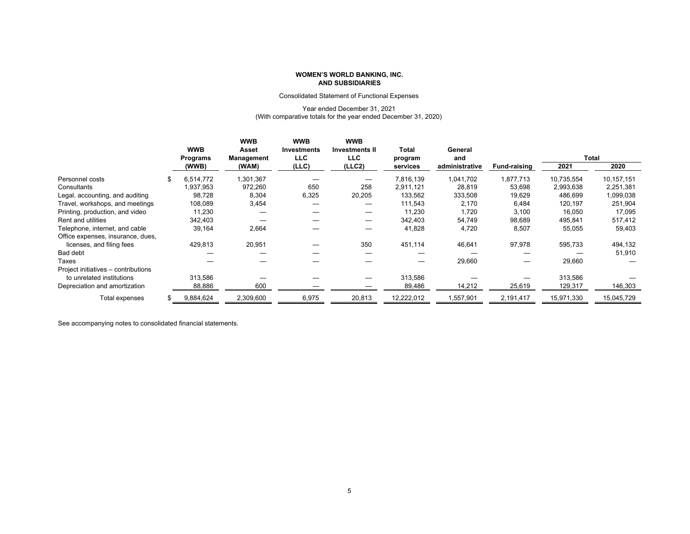Consolidated Statement of Functional Expenses

Year ended December 31, 2021 (With comparative totals for the year ended December 31, 2020)

|                                     | <b>WWB</b><br>Programs | <b>WWB</b><br>Asset<br>Management | <b>WWB</b><br><b>Investments</b><br>LLC. | <b>WWB</b><br><b>Investments II</b><br>LLC. | <b>Total</b><br>program | General<br>and |                          |            | Total      |
|-------------------------------------|------------------------|-----------------------------------|------------------------------------------|---------------------------------------------|-------------------------|----------------|--------------------------|------------|------------|
|                                     | (WWB)                  | (WAM)                             | (LLC)                                    | (LLC2)                                      | services                | administrative | <b>Fund-raising</b>      | 2021       | 2020       |
| Personnel costs<br>\$.              | 6,514,772              | 1,301,367                         |                                          |                                             | 7,816,139               | 1,041,702      | 1,877,713                | 10,735,554 | 10,157,151 |
| Consultants                         | 937,953                | 972,260                           | 650                                      | 258                                         | 2,911,121               | 28,819         | 53,698                   | 2,993,638  | 2,251,381  |
| Legal, accounting, and auditing     | 98,728                 | 8,304                             | 6,325                                    | 20,205                                      | 133,562                 | 333,508        | 19,629                   | 486,699    | 1,099,038  |
| Travel, workshops, and meetings     | 108,089                | 3,454                             |                                          |                                             | 111,543                 | 2,170          | 6,484                    | 120,197    | 251,904    |
| Printing, production, and video     | 11,230                 |                                   |                                          |                                             | 11,230                  | 1,720          | 3,100                    | 16,050     | 17,095     |
| <b>Rent and utilities</b>           | 342,403                |                                   |                                          |                                             | 342.403                 | 54,749         | 98,689                   | 495,841    | 517,412    |
| Telephone, internet, and cable      | 39,164                 | 2,664                             |                                          | —                                           | 41,828                  | 4,720          | 8,507                    | 55,055     | 59,403     |
| Office expenses, insurance, dues,   |                        |                                   |                                          |                                             |                         |                |                          |            |            |
| licenses, and filing fees           | 429,813                | 20,951                            |                                          | 350                                         | 451,114                 | 46,641         | 97,978                   | 595,733    | 494,132    |
| Bad debt                            |                        |                                   |                                          |                                             |                         |                |                          |            | 51,910     |
| Taxes                               |                        |                                   |                                          |                                             |                         | 29,660         | $\overline{\phantom{0}}$ | 29,660     |            |
| Project initiatives - contributions |                        |                                   |                                          |                                             |                         |                |                          |            |            |
| to unrelated institutions           | 313,586                |                                   |                                          |                                             | 313,586                 |                |                          | 313,586    |            |
| Depreciation and amortization       | 88,886                 | 600                               |                                          |                                             | 89,486                  | 14,212         | 25,619                   | 129,317    | 146,303    |
| Total expenses                      | 9,884,624              | 2,309,600                         | 6,975                                    | 20,813                                      | 12,222,012              | 1,557,901      | 2,191,417                | 15,971,330 | 15,045,729 |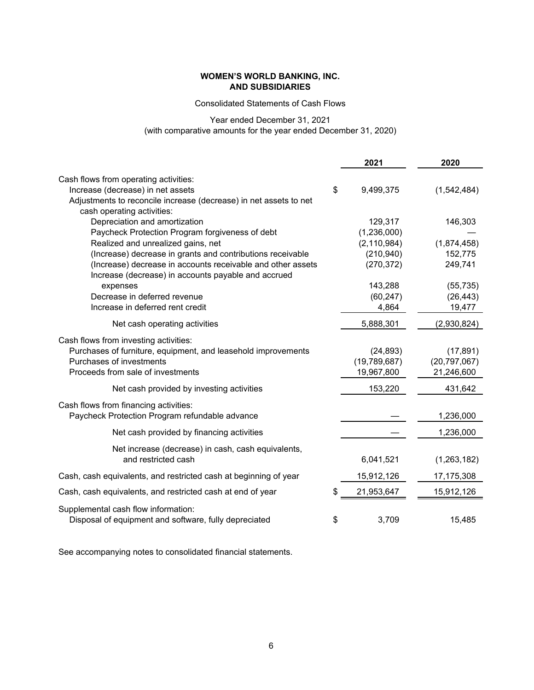Consolidated Statements of Cash Flows

# Year ended December 31, 2021

(with comparative amounts for the year ended December 31, 2020)

|                                                                                              | 2021            | 2020           |
|----------------------------------------------------------------------------------------------|-----------------|----------------|
| Cash flows from operating activities:                                                        |                 |                |
| Increase (decrease) in net assets                                                            | \$<br>9,499,375 | (1,542,484)    |
| Adjustments to reconcile increase (decrease) in net assets to net                            |                 |                |
| cash operating activities:                                                                   |                 |                |
| Depreciation and amortization                                                                | 129,317         | 146,303        |
| Paycheck Protection Program forgiveness of debt                                              | (1,236,000)     |                |
| Realized and unrealized gains, net                                                           | (2, 110, 984)   | (1,874,458)    |
| (Increase) decrease in grants and contributions receivable                                   | (210, 940)      | 152,775        |
| (Increase) decrease in accounts receivable and other assets                                  | (270, 372)      | 249,741        |
| Increase (decrease) in accounts payable and accrued                                          |                 |                |
| expenses                                                                                     | 143,288         | (55, 735)      |
| Decrease in deferred revenue                                                                 | (60, 247)       | (26, 443)      |
| Increase in deferred rent credit                                                             | 4,864           | 19,477         |
| Net cash operating activities                                                                | 5,888,301       | (2,930,824)    |
| Cash flows from investing activities:                                                        |                 |                |
| Purchases of furniture, equipment, and leasehold improvements                                | (24, 893)       | (17, 891)      |
| Purchases of investments                                                                     | (19,789,687)    | (20, 797, 067) |
| Proceeds from sale of investments                                                            | 19,967,800      | 21,246,600     |
| Net cash provided by investing activities                                                    | 153,220         | 431,642        |
| Cash flows from financing activities:                                                        |                 |                |
| Paycheck Protection Program refundable advance                                               |                 | 1,236,000      |
| Net cash provided by financing activities                                                    |                 | 1,236,000      |
| Net increase (decrease) in cash, cash equivalents,                                           |                 |                |
| and restricted cash                                                                          | 6,041,521       | (1,263,182)    |
| Cash, cash equivalents, and restricted cash at beginning of year                             | 15,912,126      | 17,175,308     |
| Cash, cash equivalents, and restricted cash at end of year                                   | 21,953,647      | 15,912,126     |
|                                                                                              |                 |                |
| Supplemental cash flow information:<br>Disposal of equipment and software, fully depreciated | \$<br>3,709     | 15,485         |
|                                                                                              |                 |                |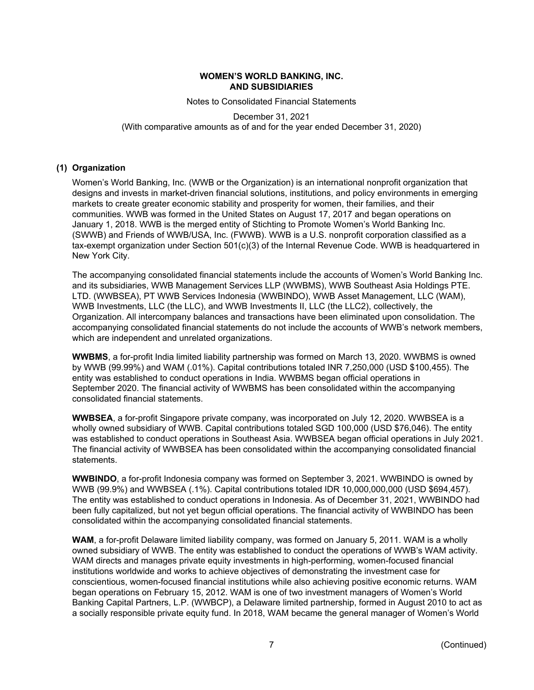Notes to Consolidated Financial Statements

December 31, 2021 (With comparative amounts as of and for the year ended December 31, 2020)

# **(1) Organization**

Women's World Banking, Inc. (WWB or the Organization) is an international nonprofit organization that designs and invests in market-driven financial solutions, institutions, and policy environments in emerging markets to create greater economic stability and prosperity for women, their families, and their communities. WWB was formed in the United States on August 17, 2017 and began operations on January 1, 2018. WWB is the merged entity of Stichting to Promote Women's World Banking Inc. (SWWB) and Friends of WWB/USA, Inc. (FWWB). WWB is a U.S. nonprofit corporation classified as a tax-exempt organization under Section 501(c)(3) of the Internal Revenue Code. WWB is headquartered in New York City.

The accompanying consolidated financial statements include the accounts of Women's World Banking Inc. and its subsidiaries, WWB Management Services LLP (WWBMS), WWB Southeast Asia Holdings PTE. LTD. (WWBSEA), PT WWB Services Indonesia (WWBINDO), WWB Asset Management, LLC (WAM), WWB Investments, LLC (the LLC), and WWB Investments II, LLC (the LLC2), collectively, the Organization. All intercompany balances and transactions have been eliminated upon consolidation. The accompanying consolidated financial statements do not include the accounts of WWB's network members, which are independent and unrelated organizations.

**WWBMS**, a for-profit India limited liability partnership was formed on March 13, 2020. WWBMS is owned by WWB (99.99%) and WAM (.01%). Capital contributions totaled INR 7,250,000 (USD \$100,455). The entity was established to conduct operations in India. WWBMS began official operations in September 2020. The financial activity of WWBMS has been consolidated within the accompanying consolidated financial statements.

**WWBSEA**, a for-profit Singapore private company, was incorporated on July 12, 2020. WWBSEA is a wholly owned subsidiary of WWB. Capital contributions totaled SGD 100,000 (USD \$76,046). The entity was established to conduct operations in Southeast Asia. WWBSEA began official operations in July 2021. The financial activity of WWBSEA has been consolidated within the accompanying consolidated financial statements.

**WWBINDO**, a for-profit Indonesia company was formed on September 3, 2021. WWBINDO is owned by WWB (99.9%) and WWBSEA (.1%). Capital contributions totaled IDR 10,000,000,000 (USD \$694,457). The entity was established to conduct operations in Indonesia. As of December 31, 2021, WWBINDO had been fully capitalized, but not yet begun official operations. The financial activity of WWBINDO has been consolidated within the accompanying consolidated financial statements.

**WAM**, a for-profit Delaware limited liability company, was formed on January 5, 2011. WAM is a wholly owned subsidiary of WWB. The entity was established to conduct the operations of WWB's WAM activity. WAM directs and manages private equity investments in high-performing, women-focused financial institutions worldwide and works to achieve objectives of demonstrating the investment case for conscientious, women-focused financial institutions while also achieving positive economic returns. WAM began operations on February 15, 2012. WAM is one of two investment managers of Women's World Banking Capital Partners, L.P. (WWBCP), a Delaware limited partnership, formed in August 2010 to act as a socially responsible private equity fund. In 2018, WAM became the general manager of Women's World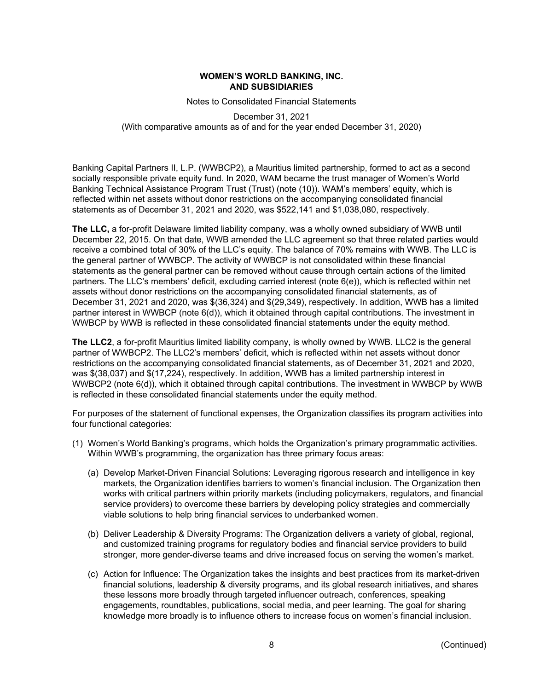Notes to Consolidated Financial Statements

# December 31, 2021 (With comparative amounts as of and for the year ended December 31, 2020)

Banking Capital Partners II, L.P. (WWBCP2), a Mauritius limited partnership, formed to act as a second socially responsible private equity fund. In 2020, WAM became the trust manager of Women's World Banking Technical Assistance Program Trust (Trust) (note (10)). WAM's members' equity, which is reflected within net assets without donor restrictions on the accompanying consolidated financial statements as of December 31, 2021 and 2020, was \$522,141 and \$1,038,080, respectively.

**The LLC,** a for-profit Delaware limited liability company, was a wholly owned subsidiary of WWB until December 22, 2015. On that date, WWB amended the LLC agreement so that three related parties would receive a combined total of 30% of the LLC's equity. The balance of 70% remains with WWB. The LLC is the general partner of WWBCP. The activity of WWBCP is not consolidated within these financial statements as the general partner can be removed without cause through certain actions of the limited partners. The LLC's members' deficit, excluding carried interest (note 6(e)), which is reflected within net assets without donor restrictions on the accompanying consolidated financial statements, as of December 31, 2021 and 2020, was \$(36,324) and \$(29,349), respectively. In addition, WWB has a limited partner interest in WWBCP (note 6(d)), which it obtained through capital contributions. The investment in WWBCP by WWB is reflected in these consolidated financial statements under the equity method.

**The LLC2**, a for-profit Mauritius limited liability company, is wholly owned by WWB. LLC2 is the general partner of WWBCP2. The LLC2's members' deficit, which is reflected within net assets without donor restrictions on the accompanying consolidated financial statements, as of December 31, 2021 and 2020, was \$(38,037) and \$(17,224), respectively. In addition, WWB has a limited partnership interest in WWBCP2 (note 6(d)), which it obtained through capital contributions. The investment in WWBCP by WWB is reflected in these consolidated financial statements under the equity method.

For purposes of the statement of functional expenses, the Organization classifies its program activities into four functional categories:

- (1) Women's World Banking's programs, which holds the Organization's primary programmatic activities. Within WWB's programming, the organization has three primary focus areas:
	- (a) Develop Market-Driven Financial Solutions: Leveraging rigorous research and intelligence in key markets, the Organization identifies barriers to women's financial inclusion. The Organization then works with critical partners within priority markets (including policymakers, regulators, and financial service providers) to overcome these barriers by developing policy strategies and commercially viable solutions to help bring financial services to underbanked women.
	- (b) Deliver Leadership & Diversity Programs: The Organization delivers a variety of global, regional, and customized training programs for regulatory bodies and financial service providers to build stronger, more gender-diverse teams and drive increased focus on serving the women's market.
	- (c) Action for Influence: The Organization takes the insights and best practices from its market-driven financial solutions, leadership & diversity programs, and its global research initiatives, and shares these lessons more broadly through targeted influencer outreach, conferences, speaking engagements, roundtables, publications, social media, and peer learning. The goal for sharing knowledge more broadly is to influence others to increase focus on women's financial inclusion.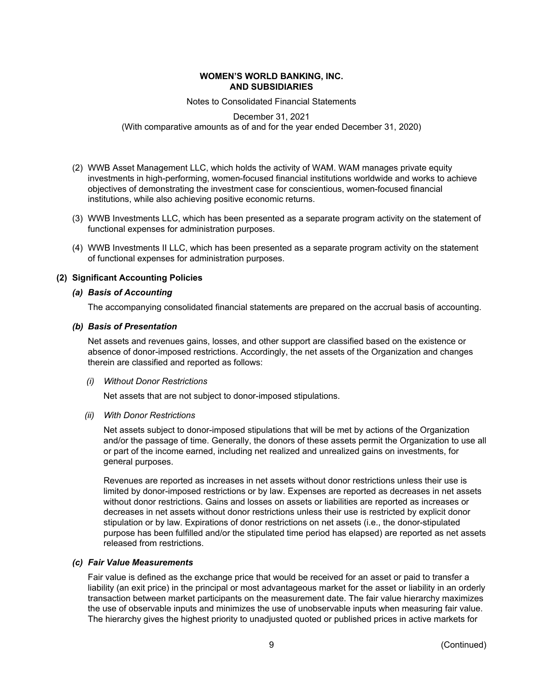Notes to Consolidated Financial Statements

#### December 31, 2021

#### (With comparative amounts as of and for the year ended December 31, 2020)

- (2) WWB Asset Management LLC, which holds the activity of WAM. WAM manages private equity investments in high-performing, women-focused financial institutions worldwide and works to achieve objectives of demonstrating the investment case for conscientious, women-focused financial institutions, while also achieving positive economic returns.
- (3) WWB Investments LLC, which has been presented as a separate program activity on the statement of functional expenses for administration purposes.
- (4) WWB Investments II LLC, which has been presented as a separate program activity on the statement of functional expenses for administration purposes.

#### **(2) Significant Accounting Policies**

#### *(a) Basis of Accounting*

The accompanying consolidated financial statements are prepared on the accrual basis of accounting.

#### *(b) Basis of Presentation*

Net assets and revenues gains, losses, and other support are classified based on the existence or absence of donor-imposed restrictions. Accordingly, the net assets of the Organization and changes therein are classified and reported as follows:

#### *(i) Without Donor Restrictions*

Net assets that are not subject to donor-imposed stipulations.

*(ii) With Donor Restrictions*

Net assets subject to donor-imposed stipulations that will be met by actions of the Organization and/or the passage of time. Generally, the donors of these assets permit the Organization to use all or part of the income earned, including net realized and unrealized gains on investments, for general purposes.

Revenues are reported as increases in net assets without donor restrictions unless their use is limited by donor-imposed restrictions or by law. Expenses are reported as decreases in net assets without donor restrictions. Gains and losses on assets or liabilities are reported as increases or decreases in net assets without donor restrictions unless their use is restricted by explicit donor stipulation or by law. Expirations of donor restrictions on net assets (i.e., the donor-stipulated purpose has been fulfilled and/or the stipulated time period has elapsed) are reported as net assets released from restrictions.

#### *(c) Fair Value Measurements*

Fair value is defined as the exchange price that would be received for an asset or paid to transfer a liability (an exit price) in the principal or most advantageous market for the asset or liability in an orderly transaction between market participants on the measurement date. The fair value hierarchy maximizes the use of observable inputs and minimizes the use of unobservable inputs when measuring fair value. The hierarchy gives the highest priority to unadjusted quoted or published prices in active markets for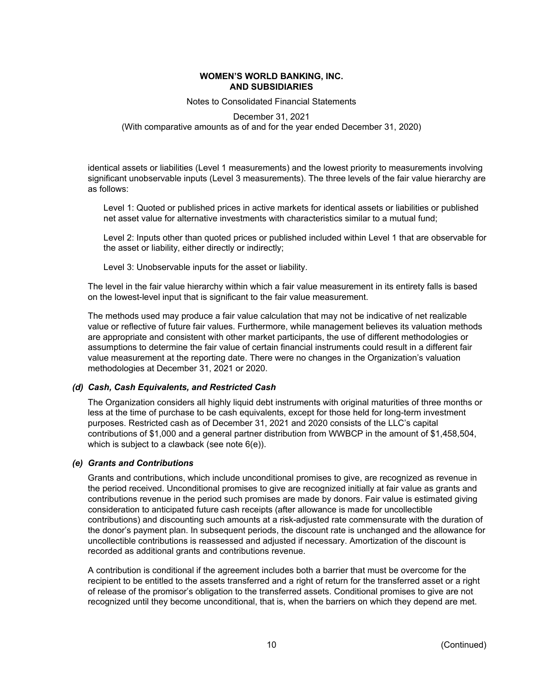Notes to Consolidated Financial Statements

# December 31, 2021 (With comparative amounts as of and for the year ended December 31, 2020)

identical assets or liabilities (Level 1 measurements) and the lowest priority to measurements involving significant unobservable inputs (Level 3 measurements). The three levels of the fair value hierarchy are as follows:

Level 1: Quoted or published prices in active markets for identical assets or liabilities or published net asset value for alternative investments with characteristics similar to a mutual fund;

Level 2: Inputs other than quoted prices or published included within Level 1 that are observable for the asset or liability, either directly or indirectly;

Level 3: Unobservable inputs for the asset or liability.

The level in the fair value hierarchy within which a fair value measurement in its entirety falls is based on the lowest-level input that is significant to the fair value measurement.

The methods used may produce a fair value calculation that may not be indicative of net realizable value or reflective of future fair values. Furthermore, while management believes its valuation methods are appropriate and consistent with other market participants, the use of different methodologies or assumptions to determine the fair value of certain financial instruments could result in a different fair value measurement at the reporting date. There were no changes in the Organization's valuation methodologies at December 31, 2021 or 2020.

# *(d) Cash, Cash Equivalents, and Restricted Cash*

The Organization considers all highly liquid debt instruments with original maturities of three months or less at the time of purchase to be cash equivalents, except for those held for long-term investment purposes. Restricted cash as of December 31, 2021 and 2020 consists of the LLC's capital contributions of \$1,000 and a general partner distribution from WWBCP in the amount of \$1,458,504, which is subject to a clawback (see note 6(e)).

# *(e) Grants and Contributions*

Grants and contributions, which include unconditional promises to give, are recognized as revenue in the period received. Unconditional promises to give are recognized initially at fair value as grants and contributions revenue in the period such promises are made by donors. Fair value is estimated giving consideration to anticipated future cash receipts (after allowance is made for uncollectible contributions) and discounting such amounts at a risk-adjusted rate commensurate with the duration of the donor's payment plan. In subsequent periods, the discount rate is unchanged and the allowance for uncollectible contributions is reassessed and adjusted if necessary. Amortization of the discount is recorded as additional grants and contributions revenue.

A contribution is conditional if the agreement includes both a barrier that must be overcome for the recipient to be entitled to the assets transferred and a right of return for the transferred asset or a right of release of the promisor's obligation to the transferred assets. Conditional promises to give are not recognized until they become unconditional, that is, when the barriers on which they depend are met.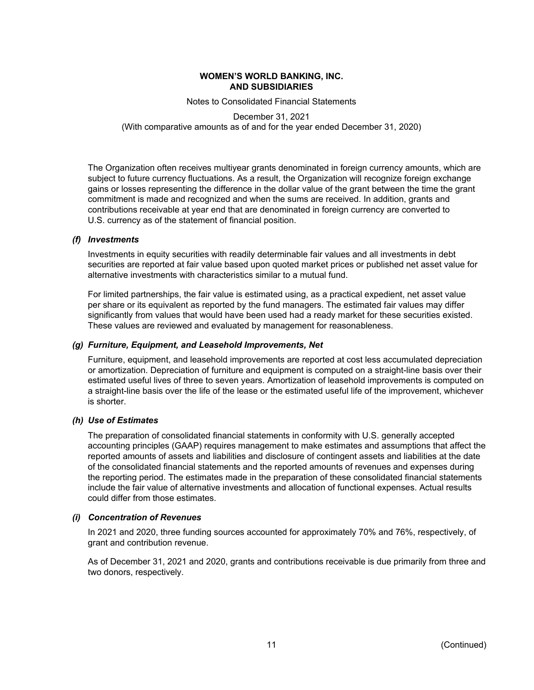Notes to Consolidated Financial Statements

December 31, 2021 (With comparative amounts as of and for the year ended December 31, 2020)

The Organization often receives multiyear grants denominated in foreign currency amounts, which are subject to future currency fluctuations. As a result, the Organization will recognize foreign exchange gains or losses representing the difference in the dollar value of the grant between the time the grant commitment is made and recognized and when the sums are received. In addition, grants and contributions receivable at year end that are denominated in foreign currency are converted to U.S. currency as of the statement of financial position.

## *(f) Investments*

Investments in equity securities with readily determinable fair values and all investments in debt securities are reported at fair value based upon quoted market prices or published net asset value for alternative investments with characteristics similar to a mutual fund.

For limited partnerships, the fair value is estimated using, as a practical expedient, net asset value per share or its equivalent as reported by the fund managers. The estimated fair values may differ significantly from values that would have been used had a ready market for these securities existed. These values are reviewed and evaluated by management for reasonableness.

# *(g) Furniture, Equipment, and Leasehold Improvements, Net*

Furniture, equipment, and leasehold improvements are reported at cost less accumulated depreciation or amortization. Depreciation of furniture and equipment is computed on a straight-line basis over their estimated useful lives of three to seven years. Amortization of leasehold improvements is computed on a straight-line basis over the life of the lease or the estimated useful life of the improvement, whichever is shorter.

#### *(h) Use of Estimates*

The preparation of consolidated financial statements in conformity with U.S. generally accepted accounting principles (GAAP) requires management to make estimates and assumptions that affect the reported amounts of assets and liabilities and disclosure of contingent assets and liabilities at the date of the consolidated financial statements and the reported amounts of revenues and expenses during the reporting period. The estimates made in the preparation of these consolidated financial statements include the fair value of alternative investments and allocation of functional expenses. Actual results could differ from those estimates.

#### *(i) Concentration of Revenues*

In 2021 and 2020, three funding sources accounted for approximately 70% and 76%, respectively, of grant and contribution revenue.

As of December 31, 2021 and 2020, grants and contributions receivable is due primarily from three and two donors, respectively.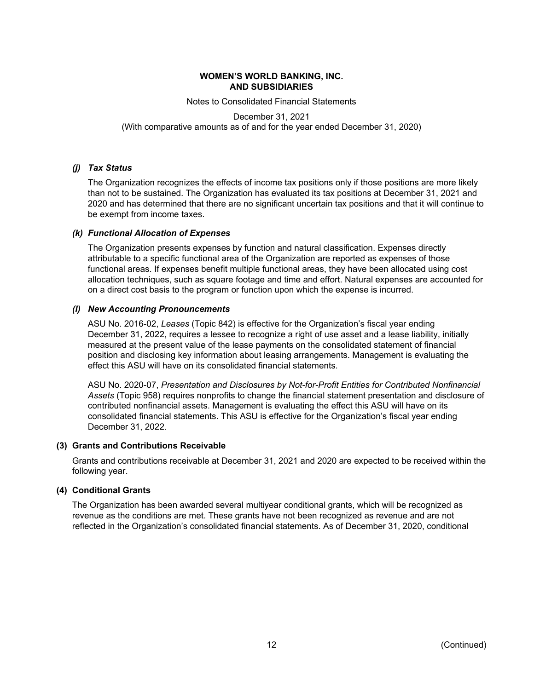Notes to Consolidated Financial Statements

December 31, 2021 (With comparative amounts as of and for the year ended December 31, 2020)

## *(j) Tax Status*

The Organization recognizes the effects of income tax positions only if those positions are more likely than not to be sustained. The Organization has evaluated its tax positions at December 31, 2021 and 2020 and has determined that there are no significant uncertain tax positions and that it will continue to be exempt from income taxes.

## *(k) Functional Allocation of Expenses*

The Organization presents expenses by function and natural classification. Expenses directly attributable to a specific functional area of the Organization are reported as expenses of those functional areas. If expenses benefit multiple functional areas, they have been allocated using cost allocation techniques, such as square footage and time and effort. Natural expenses are accounted for on a direct cost basis to the program or function upon which the expense is incurred.

## *(l) New Accounting Pronouncements*

ASU No. 2016-02, *Leases* (Topic 842) is effective for the Organization's fiscal year ending December 31, 2022, requires a lessee to recognize a right of use asset and a lease liability, initially measured at the present value of the lease payments on the consolidated statement of financial position and disclosing key information about leasing arrangements. Management is evaluating the effect this ASU will have on its consolidated financial statements.

ASU No. 2020-07, *Presentation and Disclosures by Not-for-Profit Entities for Contributed Nonfinancial Assets* (Topic 958) requires nonprofits to change the financial statement presentation and disclosure of contributed nonfinancial assets. Management is evaluating the effect this ASU will have on its consolidated financial statements. This ASU is effective for the Organization's fiscal year ending December 31, 2022.

#### **(3) Grants and Contributions Receivable**

Grants and contributions receivable at December 31, 2021 and 2020 are expected to be received within the following year.

# **(4) Conditional Grants**

The Organization has been awarded several multiyear conditional grants, which will be recognized as revenue as the conditions are met. These grants have not been recognized as revenue and are not reflected in the Organization's consolidated financial statements. As of December 31, 2020, conditional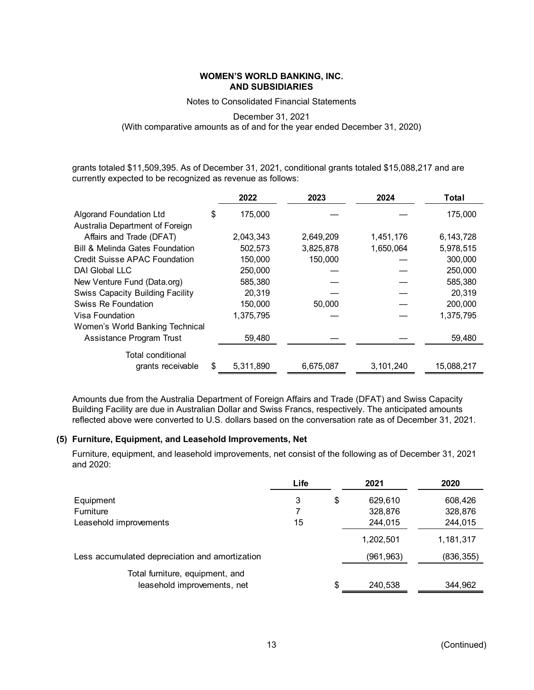Notes to Consolidated Financial Statements

# December 31, 2021 (With comparative amounts as of and for the year ended December 31, 2020)

grants totaled \$11,509,395. As of December 31, 2021, conditional grants totaled \$15,088,217 and are currently expected to be recognized as revenue as follows:

|                                            |    | 2022      | 2023      | 2024      | Total      |
|--------------------------------------------|----|-----------|-----------|-----------|------------|
| <b>Algorand Foundation Ltd</b>             | \$ | 175,000   |           |           | 175,000    |
| Australia Department of Foreign            |    |           |           |           |            |
| Affairs and Trade (DFAT)                   |    | 2,043,343 | 2,649,209 | 1,451,176 | 6,143,728  |
| <b>Bill &amp; Melinda Gates Foundation</b> |    | 502,573   | 3,825,878 | 1,650,064 | 5,978,515  |
| Credit Suisse APAC Foundation              |    | 150,000   | 150,000   |           | 300,000    |
| <b>DAI Global LLC</b>                      |    | 250,000   |           |           | 250,000    |
| New Venture Fund (Data.org)                |    | 585,380   |           |           | 585,380    |
| <b>Swiss Capacity Building Facility</b>    |    | 20,319    |           |           | 20,319     |
| Swiss Re Foundation                        |    | 150,000   | 50,000    |           | 200,000    |
| Visa Foundation                            |    | 1,375,795 |           |           | 1,375,795  |
| Women's World Banking Technical            |    |           |           |           |            |
| Assistance Program Trust                   |    | 59,480    |           |           | 59,480     |
| Total conditional                          |    |           |           |           |            |
| grants receivable                          | S  | 5,311,890 | 6,675,087 | 3,101,240 | 15,088,217 |

Amounts due from the Australia Department of Foreign Affairs and Trade (DFAT) and Swiss Capacity Building Facility are due in Australian Dollar and Swiss Francs, respectively. The anticipated amounts reflected above were converted to U.S. dollars based on the conversation rate as of December 31, 2021.

# **(5) Furniture, Equipment, and Leasehold Improvements, Net**

Furniture, equipment, and leasehold improvements, net consist of the following as of December 31, 2021 and 2020:

|                                                                | Life | 2021          | 2020       |
|----------------------------------------------------------------|------|---------------|------------|
| Equipment                                                      | 3    | \$<br>629,610 | 608,426    |
| <b>Furniture</b>                                               |      | 328,876       | 328,876    |
| Leasehold improvements                                         | 15   | 244,015       | 244,015    |
|                                                                |      | 1,202,501     | 1,181,317  |
| Less accumulated depreciation and amortization                 |      | (961, 963)    | (836, 355) |
| Total furniture, equipment, and<br>leasehold improvements, net |      | \$<br>240,538 | 344,962    |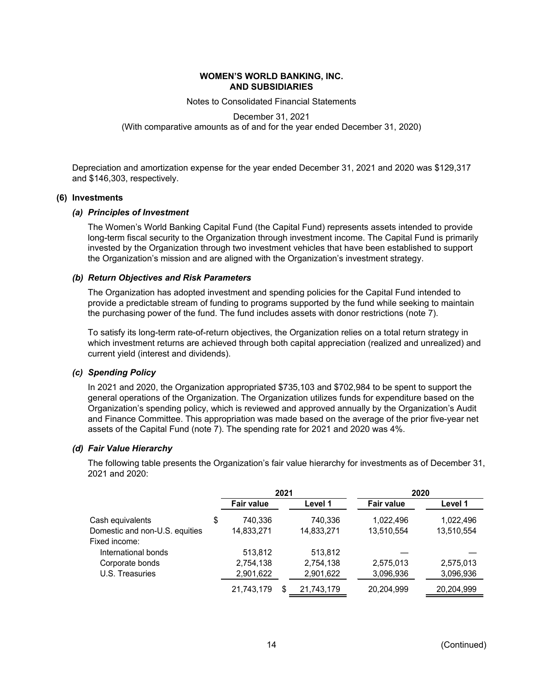Notes to Consolidated Financial Statements

December 31, 2021 (With comparative amounts as of and for the year ended December 31, 2020)

Depreciation and amortization expense for the year ended December 31, 2021 and 2020 was \$129,317 and \$146,303, respectively.

#### **(6) Investments**

#### *(a) Principles of Investment*

The Women's World Banking Capital Fund (the Capital Fund) represents assets intended to provide long-term fiscal security to the Organization through investment income. The Capital Fund is primarily invested by the Organization through two investment vehicles that have been established to support the Organization's mission and are aligned with the Organization's investment strategy.

#### *(b) Return Objectives and Risk Parameters*

The Organization has adopted investment and spending policies for the Capital Fund intended to provide a predictable stream of funding to programs supported by the fund while seeking to maintain the purchasing power of the fund. The fund includes assets with donor restrictions (note 7).

To satisfy its long-term rate-of-return objectives, the Organization relies on a total return strategy in which investment returns are achieved through both capital appreciation (realized and unrealized) and current yield (interest and dividends).

#### *(c) Spending Policy*

In 2021 and 2020, the Organization appropriated \$735,103 and \$702,984 to be spent to support the general operations of the Organization. The Organization utilizes funds for expenditure based on the Organization's spending policy, which is reviewed and approved annually by the Organization's Audit and Finance Committee. This appropriation was made based on the average of the prior five-year net assets of the Capital Fund (note 7). The spending rate for 2021 and 2020 was 4%.

#### *(d) Fair Value Hierarchy*

The following table presents the Organization's fair value hierarchy for investments as of December 31, 2021 and 2020:

|                                |                   | 2021 |            |                   | 2020       |
|--------------------------------|-------------------|------|------------|-------------------|------------|
|                                | <b>Fair value</b> |      | Level 1    | <b>Fair value</b> | Level 1    |
| Cash equivalents               | 740.336<br>\$     |      | 740,336    | 1.022.496         | 1,022,496  |
| Domestic and non-U.S. equities | 14,833,271        |      | 14,833,271 | 13,510,554        | 13,510,554 |
| Fixed income:                  |                   |      |            |                   |            |
| International bonds            | 513,812           |      | 513,812    |                   |            |
| Corporate bonds                | 2,754,138         |      | 2,754,138  | 2,575,013         | 2,575,013  |
| U.S. Treasuries                | 2,901,622         |      | 2,901,622  | 3,096,936         | 3,096,936  |
|                                | 21,743,179        |      | 21,743,179 | 20,204,999        | 20,204,999 |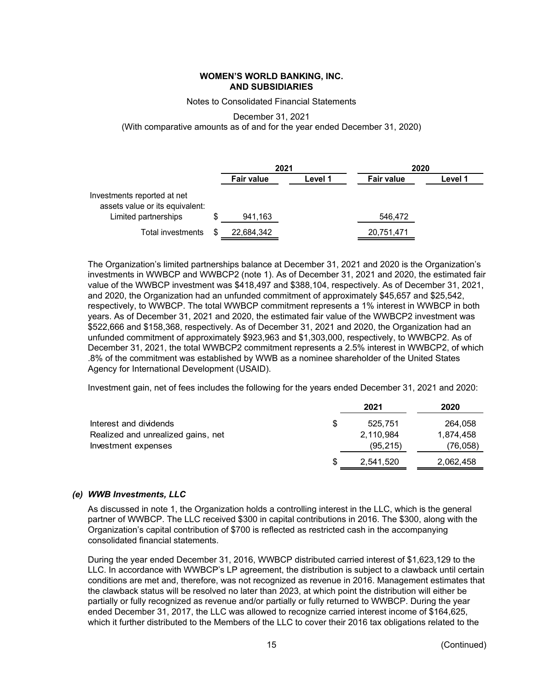Notes to Consolidated Financial Statements

December 31, 2021 (With comparative amounts as of and for the year ended December 31, 2020)

|                                                                                        |                   | 2021    | 2020              |         |  |
|----------------------------------------------------------------------------------------|-------------------|---------|-------------------|---------|--|
|                                                                                        | <b>Fair value</b> | Level 1 | <b>Fair value</b> | Level 1 |  |
| Investments reported at net<br>assets value or its equivalent:<br>Limited partnerships | 941,163           |         | 546,472           |         |  |
| Total investments                                                                      | 22,684,342        |         | 20,751,471        |         |  |

The Organization's limited partnerships balance at December 31, 2021 and 2020 is the Organization's investments in WWBCP and WWBCP2 (note 1). As of December 31, 2021 and 2020, the estimated fair value of the WWBCP investment was \$418,497 and \$388,104, respectively. As of December 31, 2021, and 2020, the Organization had an unfunded commitment of approximately \$45,657 and \$25,542, respectively, to WWBCP. The total WWBCP commitment represents a 1% interest in WWBCP in both years. As of December 31, 2021 and 2020, the estimated fair value of the WWBCP2 investment was \$522,666 and \$158,368, respectively. As of December 31, 2021 and 2020, the Organization had an unfunded commitment of approximately \$923,963 and \$1,303,000, respectively, to WWBCP2. As of December 31, 2021, the total WWBCP2 commitment represents a 2.5% interest in WWBCP2, of which .8% of the commitment was established by WWB as a nominee shareholder of the United States Agency for International Development (USAID).

Investment gain, net of fees includes the following for the years ended December 31, 2021 and 2020:

|                                    | 2021            | 2020      |
|------------------------------------|-----------------|-----------|
| Interest and dividends             | \$<br>525.751   | 264,058   |
| Realized and unrealized gains, net | 2,110,984       | 1,874,458 |
| Investment expenses                | (95, 215)       | (76,058)  |
|                                    | \$<br>2,541,520 | 2,062,458 |

# *(e) WWB Investments, LLC*

As discussed in note 1, the Organization holds a controlling interest in the LLC, which is the general partner of WWBCP. The LLC received \$300 in capital contributions in 2016. The \$300, along with the Organization's capital contribution of \$700 is reflected as restricted cash in the accompanying consolidated financial statements.

During the year ended December 31, 2016, WWBCP distributed carried interest of \$1,623,129 to the LLC. In accordance with WWBCP's LP agreement, the distribution is subject to a clawback until certain conditions are met and, therefore, was not recognized as revenue in 2016. Management estimates that the clawback status will be resolved no later than 2023, at which point the distribution will either be partially or fully recognized as revenue and/or partially or fully returned to WWBCP. During the year ended December 31, 2017, the LLC was allowed to recognize carried interest income of \$164,625, which it further distributed to the Members of the LLC to cover their 2016 tax obligations related to the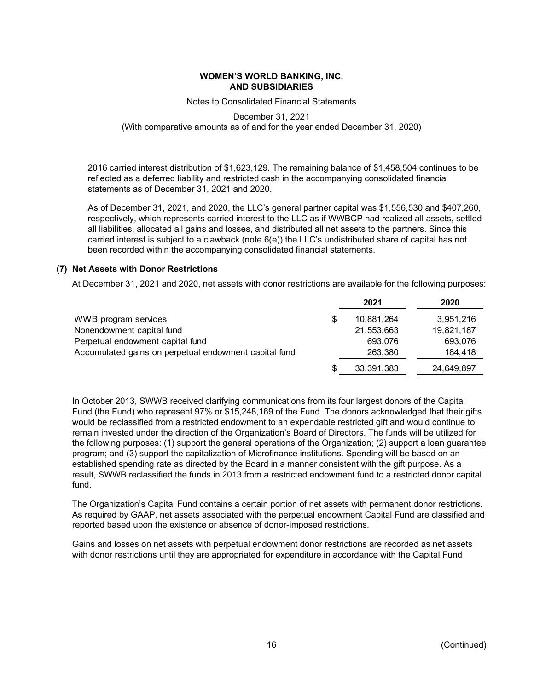Notes to Consolidated Financial Statements

December 31, 2021 (With comparative amounts as of and for the year ended December 31, 2020)

2016 carried interest distribution of \$1,623,129. The remaining balance of \$1,458,504 continues to be reflected as a deferred liability and restricted cash in the accompanying consolidated financial statements as of December 31, 2021 and 2020.

As of December 31, 2021, and 2020, the LLC's general partner capital was \$1,556,530 and \$407,260, respectively, which represents carried interest to the LLC as if WWBCP had realized all assets, settled all liabilities, allocated all gains and losses, and distributed all net assets to the partners. Since this carried interest is subject to a clawback (note 6(e)) the LLC's undistributed share of capital has not been recorded within the accompanying consolidated financial statements.

## **(7) Net Assets with Donor Restrictions**

At December 31, 2021 and 2020, net assets with donor restrictions are available for the following purposes:

|                                                       | 2021       | 2020       |
|-------------------------------------------------------|------------|------------|
| WWB program services                                  | 10,881,264 | 3,951,216  |
| Nonendowment capital fund                             | 21,553,663 | 19,821,187 |
| Perpetual endowment capital fund                      | 693.076    | 693,076    |
| Accumulated gains on perpetual endowment capital fund | 263,380    | 184,418    |
|                                                       | 33,391,383 | 24,649,897 |

In October 2013, SWWB received clarifying communications from its four largest donors of the Capital Fund (the Fund) who represent 97% or \$15,248,169 of the Fund. The donors acknowledged that their gifts would be reclassified from a restricted endowment to an expendable restricted gift and would continue to remain invested under the direction of the Organization's Board of Directors. The funds will be utilized for the following purposes: (1) support the general operations of the Organization; (2) support a loan guarantee program; and (3) support the capitalization of Microfinance institutions. Spending will be based on an established spending rate as directed by the Board in a manner consistent with the gift purpose. As a result, SWWB reclassified the funds in 2013 from a restricted endowment fund to a restricted donor capital fund.

The Organization's Capital Fund contains a certain portion of net assets with permanent donor restrictions. As required by GAAP, net assets associated with the perpetual endowment Capital Fund are classified and reported based upon the existence or absence of donor-imposed restrictions.

Gains and losses on net assets with perpetual endowment donor restrictions are recorded as net assets with donor restrictions until they are appropriated for expenditure in accordance with the Capital Fund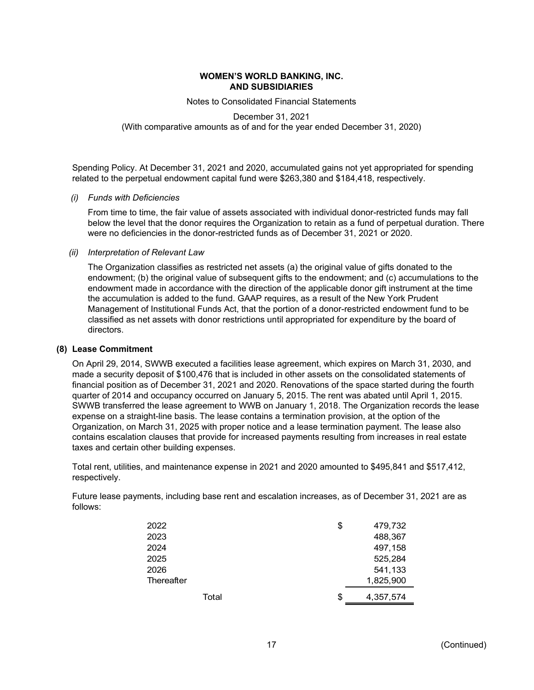Notes to Consolidated Financial Statements

December 31, 2021 (With comparative amounts as of and for the year ended December 31, 2020)

Spending Policy. At December 31, 2021 and 2020, accumulated gains not yet appropriated for spending related to the perpetual endowment capital fund were \$263,380 and \$184,418, respectively.

#### *(i) Funds with Deficiencies*

From time to time, the fair value of assets associated with individual donor-restricted funds may fall below the level that the donor requires the Organization to retain as a fund of perpetual duration. There were no deficiencies in the donor-restricted funds as of December 31, 2021 or 2020.

#### *(ii) Interpretation of Relevant Law*

The Organization classifies as restricted net assets (a) the original value of gifts donated to the endowment; (b) the original value of subsequent gifts to the endowment; and (c) accumulations to the endowment made in accordance with the direction of the applicable donor gift instrument at the time the accumulation is added to the fund. GAAP requires, as a result of the New York Prudent Management of Institutional Funds Act, that the portion of a donor-restricted endowment fund to be classified as net assets with donor restrictions until appropriated for expenditure by the board of directors.

#### **(8) Lease Commitment**

On April 29, 2014, SWWB executed a facilities lease agreement, which expires on March 31, 2030, and made a security deposit of \$100,476 that is included in other assets on the consolidated statements of financial position as of December 31, 2021 and 2020. Renovations of the space started during the fourth quarter of 2014 and occupancy occurred on January 5, 2015. The rent was abated until April 1, 2015. SWWB transferred the lease agreement to WWB on January 1, 2018. The Organization records the lease expense on a straight-line basis. The lease contains a termination provision, at the option of the Organization, on March 31, 2025 with proper notice and a lease termination payment. The lease also contains escalation clauses that provide for increased payments resulting from increases in real estate taxes and certain other building expenses.

Total rent, utilities, and maintenance expense in 2021 and 2020 amounted to \$495,841 and \$517,412, respectively.

Future lease payments, including base rent and escalation increases, as of December 31, 2021 are as follows:

| 2022       | \$<br>479,732   |
|------------|-----------------|
| 2023       | 488,367         |
| 2024       | 497,158         |
| 2025       | 525,284         |
| 2026       | 541,133         |
| Thereafter | 1,825,900       |
| Total      | \$<br>4,357,574 |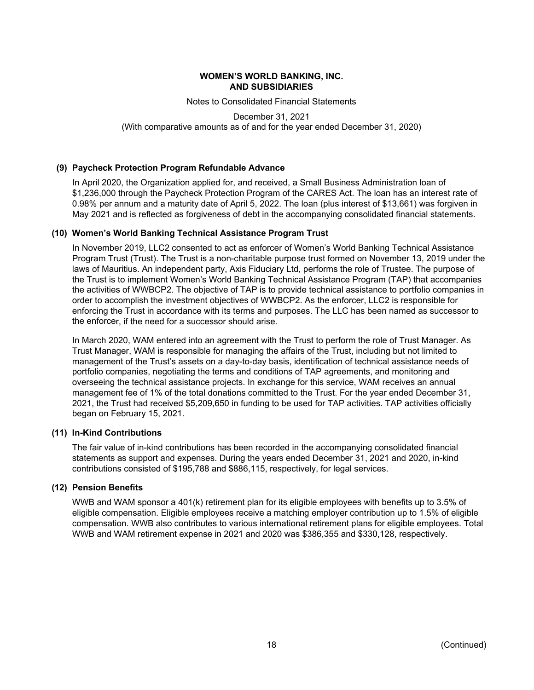Notes to Consolidated Financial Statements

December 31, 2021 (With comparative amounts as of and for the year ended December 31, 2020)

# **(9) Paycheck Protection Program Refundable Advance**

In April 2020, the Organization applied for, and received, a Small Business Administration loan of \$1,236,000 through the Paycheck Protection Program of the CARES Act. The loan has an interest rate of 0.98% per annum and a maturity date of April 5, 2022. The loan (plus interest of \$13,661) was forgiven in May 2021 and is reflected as forgiveness of debt in the accompanying consolidated financial statements.

## **(10) Women's World Banking Technical Assistance Program Trust**

In November 2019, LLC2 consented to act as enforcer of Women's World Banking Technical Assistance Program Trust (Trust). The Trust is a non-charitable purpose trust formed on November 13, 2019 under the laws of Mauritius. An independent party, Axis Fiduciary Ltd, performs the role of Trustee. The purpose of the Trust is to implement Women's World Banking Technical Assistance Program (TAP) that accompanies the activities of WWBCP2. The objective of TAP is to provide technical assistance to portfolio companies in order to accomplish the investment objectives of WWBCP2. As the enforcer, LLC2 is responsible for enforcing the Trust in accordance with its terms and purposes. The LLC has been named as successor to the enforcer, if the need for a successor should arise.

In March 2020, WAM entered into an agreement with the Trust to perform the role of Trust Manager. As Trust Manager, WAM is responsible for managing the affairs of the Trust, including but not limited to management of the Trust's assets on a day-to-day basis, identification of technical assistance needs of portfolio companies, negotiating the terms and conditions of TAP agreements, and monitoring and overseeing the technical assistance projects. In exchange for this service, WAM receives an annual management fee of 1% of the total donations committed to the Trust. For the year ended December 31, 2021, the Trust had received \$5,209,650 in funding to be used for TAP activities. TAP activities officially began on February 15, 2021.

#### **(11) In-Kind Contributions**

The fair value of in-kind contributions has been recorded in the accompanying consolidated financial statements as support and expenses. During the years ended December 31, 2021 and 2020, in-kind contributions consisted of \$195,788 and \$886,115, respectively, for legal services.

# **(12) Pension Benefits**

WWB and WAM sponsor a 401(k) retirement plan for its eligible employees with benefits up to 3.5% of eligible compensation. Eligible employees receive a matching employer contribution up to 1.5% of eligible compensation. WWB also contributes to various international retirement plans for eligible employees. Total WWB and WAM retirement expense in 2021 and 2020 was \$386,355 and \$330,128, respectively.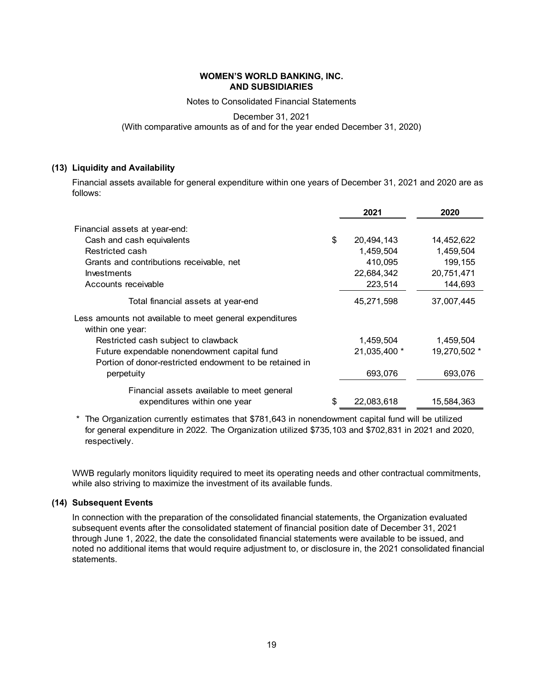Notes to Consolidated Financial Statements

#### December 31, 2021

#### (With comparative amounts as of and for the year ended December 31, 2020)

## **(13) Liquidity and Availability**

Financial assets available for general expenditure within one years of December 31, 2021 and 2020 are as follows:

|                                                                                                        | 2021             | 2020         |
|--------------------------------------------------------------------------------------------------------|------------------|--------------|
| Financial assets at year-end:                                                                          |                  |              |
| Cash and cash equivalents                                                                              | \$<br>20,494,143 | 14,452,622   |
| Restricted cash                                                                                        | 1,459,504        | 1,459,504    |
| Grants and contributions receivable, net                                                               | 410,095          | 199,155      |
| <b>Investments</b>                                                                                     | 22,684,342       | 20,751,471   |
| Accounts receivable                                                                                    | 223,514          | 144,693      |
| Total financial assets at year-end                                                                     | 45,271,598       | 37,007,445   |
| Less amounts not available to meet general expenditures<br>within one year:                            |                  |              |
| Restricted cash subject to clawback                                                                    | 1,459,504        | 1,459,504    |
| Future expendable nonendowment capital fund<br>Portion of donor-restricted endowment to be retained in | 21,035,400 *     | 19,270,502 * |
| perpetuity                                                                                             | 693,076          | 693,076      |
| Financial assets available to meet general                                                             |                  |              |
| expenditures within one year                                                                           | \$<br>22,083,618 | 15,584,363   |

\* The Organization currently estimates that \$781,643 in nonendowment capital fund will be utilized for general expenditure in 2022. The Organization utilized \$735,103 and \$702,831 in 2021 and 2020, respectively.

WWB regularly monitors liquidity required to meet its operating needs and other contractual commitments, while also striving to maximize the investment of its available funds.

## **(14) Subsequent Events**

In connection with the preparation of the consolidated financial statements, the Organization evaluated subsequent events after the consolidated statement of financial position date of December 31, 2021 through June 1, 2022, the date the consolidated financial statements were available to be issued, and noted no additional items that would require adjustment to, or disclosure in, the 2021 consolidated financial statements.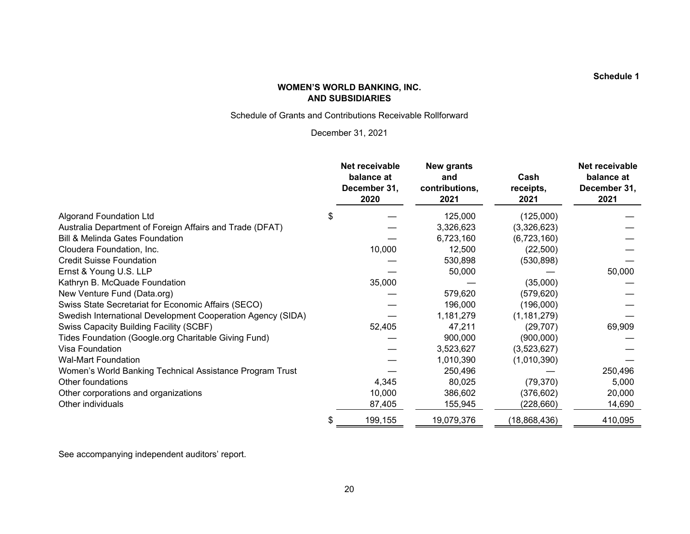**Schedule 1**

# **WOMEN'S WORLD BANKING, INC. AND SUBSIDIARIES**

Schedule of Grants and Contributions Receivable Rollforward

December 31, 2021

|                                                             |    | Net receivable<br>balance at<br>December 31,<br>2020 | <b>New grants</b><br>and<br>contributions,<br>2021 | Cash<br>receipts,<br>2021 | Net receivable<br>balance at<br>December 31,<br>2021 |
|-------------------------------------------------------------|----|------------------------------------------------------|----------------------------------------------------|---------------------------|------------------------------------------------------|
| <b>Algorand Foundation Ltd</b>                              | S  |                                                      | 125,000                                            | (125,000)                 |                                                      |
| Australia Department of Foreign Affairs and Trade (DFAT)    |    |                                                      | 3,326,623                                          | (3,326,623)               |                                                      |
| <b>Bill &amp; Melinda Gates Foundation</b>                  |    |                                                      | 6,723,160                                          | (6,723,160)               |                                                      |
| Cloudera Foundation, Inc.                                   |    | 10,000                                               | 12,500                                             | (22, 500)                 |                                                      |
| <b>Credit Suisse Foundation</b>                             |    |                                                      | 530,898                                            | (530, 898)                |                                                      |
| Ernst & Young U.S. LLP                                      |    |                                                      | 50,000                                             |                           | 50,000                                               |
| Kathryn B. McQuade Foundation                               |    | 35,000                                               |                                                    | (35,000)                  |                                                      |
| New Venture Fund (Data.org)                                 |    |                                                      | 579,620                                            | (579, 620)                |                                                      |
| Swiss State Secretariat for Economic Affairs (SECO)         |    |                                                      | 196,000                                            | (196,000)                 |                                                      |
| Swedish International Development Cooperation Agency (SIDA) |    |                                                      | 1,181,279                                          | (1, 181, 279)             |                                                      |
| <b>Swiss Capacity Building Facility (SCBF)</b>              |    | 52,405                                               | 47,211                                             | (29, 707)                 | 69,909                                               |
| Tides Foundation (Google.org Charitable Giving Fund)        |    |                                                      | 900,000                                            | (900,000)                 |                                                      |
| Visa Foundation                                             |    |                                                      | 3,523,627                                          | (3,523,627)               |                                                      |
| <b>Wal-Mart Foundation</b>                                  |    |                                                      | 1,010,390                                          | (1,010,390)               |                                                      |
| Women's World Banking Technical Assistance Program Trust    |    |                                                      | 250,496                                            |                           | 250,496                                              |
| Other foundations                                           |    | 4,345                                                | 80,025                                             | (79, 370)                 | 5,000                                                |
| Other corporations and organizations                        |    | 10,000                                               | 386,602                                            | (376, 602)                | 20,000                                               |
| Other individuals                                           |    | 87,405                                               | 155,945                                            | (228,660)                 | 14,690                                               |
|                                                             | \$ | 199,155                                              | 19,079,376                                         | (18,868,436)              | 410,095                                              |

See accompanying independent auditors' report.